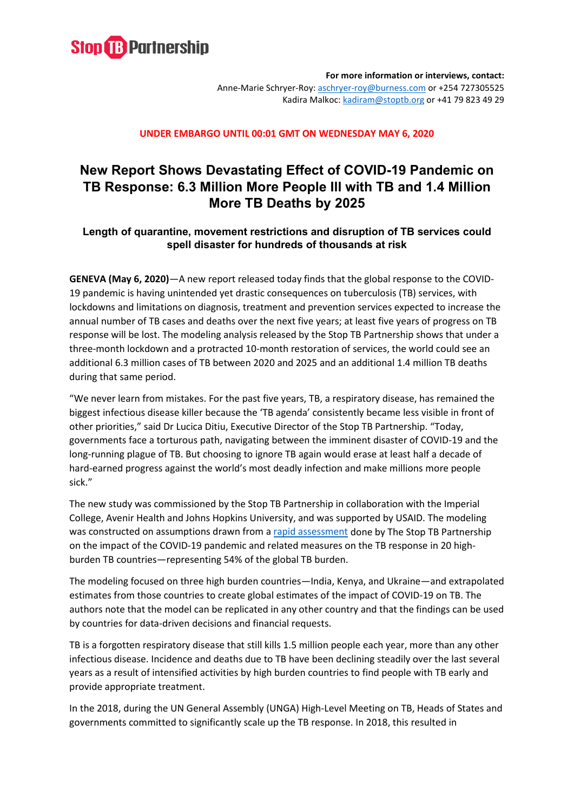

**For more information or interviews, contact:**  Anne-Marie Schryer-Roy: [aschryer-roy@burness.com](mailto:aschryer-roy@burness.com) or +254 727305525 Kadira Malkoc: [kadiram@stoptb.org](mailto:kadiram@stoptb.org) or +41 79 823 49 29

### **UNDER EMBARGO UNTIL 00:01 GMT ON WEDNESDAY MAY 6, 2020**

# **New Report Shows Devastating Effect of COVID-19 Pandemic on TB Response: 6.3 Million More People Ill with TB and 1.4 Million More TB Deaths by 2025**

## **Length of quarantine, movement restrictions and disruption of TB services could spell disaster for hundreds of thousands at risk**

**GENEVA (May 6, 2020)**—A new report released today finds that the global response to the COVID-19 pandemic is having unintended yet drastic consequences on tuberculosis (TB) services, with lockdowns and limitations on diagnosis, treatment and prevention services expected to increase the annual number of TB cases and deaths over the next five years; at least five years of progress on TB response will be lost. The modeling analysis released by the Stop TB Partnership shows that under a three-month lockdown and a protracted 10-month restoration of services, the world could see an additional 6.3 million cases of TB between 2020 and 2025 and an additional 1.4 million TB deaths during that same period.

"We never learn from mistakes. For the past five years, TB, a respiratory disease, has remained the biggest infectious disease killer because the 'TB agenda' consistently became less visible in front of other priorities," said Dr Lucica Ditiu, Executive Director of the Stop TB Partnership. "Today, governments face a torturous path, navigating between the imminent disaster of COVID-19 and the long-running plague of TB. But choosing to ignore TB again would erase at least half a decade of hard-earned progress against the world's most deadly infection and make millions more people sick."

The new study was commissioned by the Stop TB Partnership in collaboration with the Imperial College, Avenir Health and Johns Hopkins University, and was supported by USAID. The modeling was constructed on assumptions drawn from [a rapid assessment](http://www.stoptb.org/news/stories/2020/ns20_014.html) done by The Stop TB Partnership on the impact of the COVID-19 pandemic and related measures on the TB response in 20 highburden TB countries—representing 54% of the global TB burden.

The modeling focused on three high burden countries—India, Kenya, and Ukraine—and extrapolated estimates from those countries to create global estimates of the impact of COVID-19 on TB. The authors note that the model can be replicated in any other country and that the findings can be used by countries for data-driven decisions and financial requests.

TB is a forgotten respiratory disease that still kills 1.5 million people each year, more than any other infectious disease. Incidence and deaths due to TB have been declining steadily over the last several years as a result of intensified activities by high burden countries to find people with TB early and provide appropriate treatment.

In the 2018, during the UN General Assembly (UNGA) High-Level Meeting on TB, Heads of States and governments committed to significantly scale up the TB response. In 2018, this resulted in